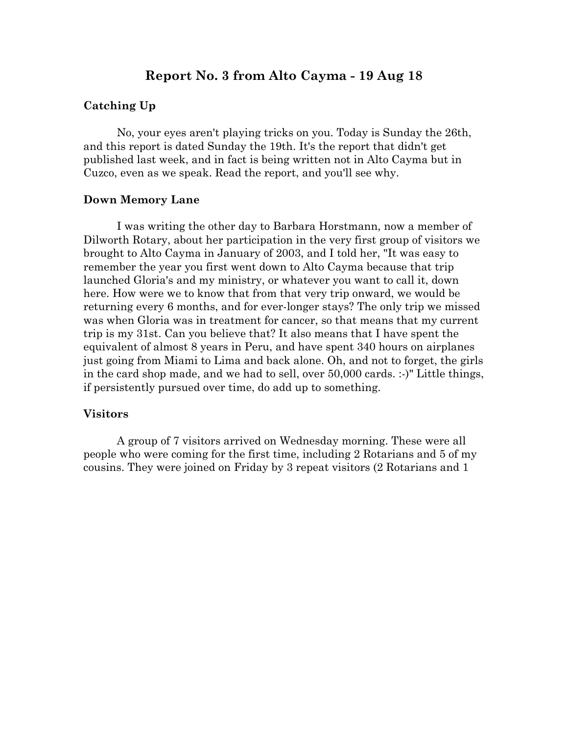# **Report No. 3 from Alto Cayma - 19 Aug 18**

#### **Catching Up**

No, your eyes aren't playing tricks on you. Today is Sunday the 26th, and this report is dated Sunday the 19th. It's the report that didn't get published last week, and in fact is being written not in Alto Cayma but in Cuzco, even as we speak. Read the report, and you'll see why.

#### **Down Memory Lane**

I was writing the other day to Barbara Horstmann, now a member of Dilworth Rotary, about her participation in the very first group of visitors we brought to Alto Cayma in January of 2003, and I told her, "It was easy to remember the year you first went down to Alto Cayma because that trip launched Gloria's and my ministry, or whatever you want to call it, down here. How were we to know that from that very trip onward, we would be returning every 6 months, and for ever-longer stays? The only trip we missed was when Gloria was in treatment for cancer, so that means that my current trip is my 31st. Can you believe that? It also means that I have spent the equivalent of almost 8 years in Peru, and have spent 340 hours on airplanes just going from Miami to Lima and back alone. Oh, and not to forget, the girls in the card shop made, and we had to sell, over 50,000 cards. :-)" Little things, if persistently pursued over time, do add up to something.

#### **Visitors**

A group of 7 visitors arrived on Wednesday morning. These were all people who were coming for the first time, including 2 Rotarians and 5 of my cousins. They were joined on Friday by 3 repeat visitors (2 Rotarians and 1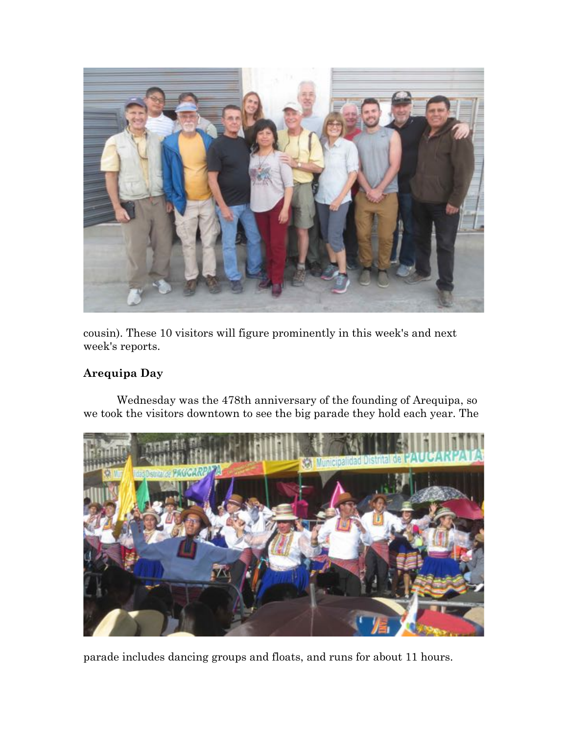

cousin). These 10 visitors will figure prominently in this week's and next week's reports.

# **Arequipa Day**

Wednesday was the 478th anniversary of the founding of Arequipa, so we took the visitors downtown to see the big parade they hold each year. The



parade includes dancing groups and floats, and runs for about 11 hours.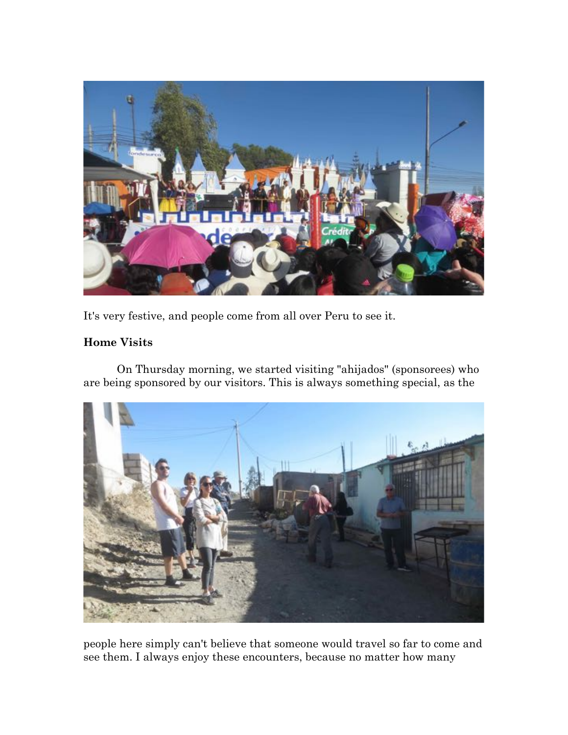

It's very festive, and people come from all over Peru to see it.

## **Home Visits**

On Thursday morning, we started visiting "ahijados" (sponsorees) who are being sponsored by our visitors. This is always something special, as the



people here simply can't believe that someone would travel so far to come and see them. I always enjoy these encounters, because no matter how many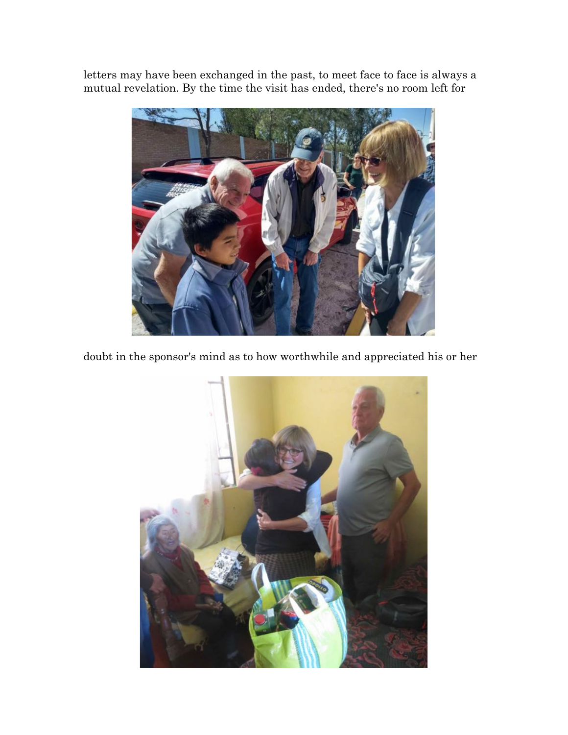letters may have been exchanged in the past, to meet face to face is always a mutual revelation. By the time the visit has ended, there's no room left for



doubt in the sponsor's mind as to how worthwhile and appreciated his or her

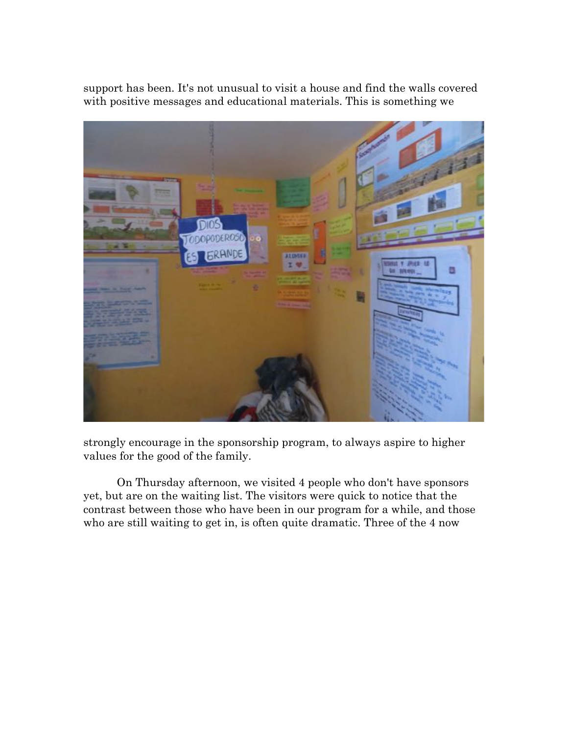support has been. It's not unusual to visit a house and find the walls covered with positive messages and educational materials. This is something we



strongly encourage in the sponsorship program, to always aspire to higher values for the good of the family.

On Thursday afternoon, we visited 4 people who don't have sponsors yet, but are on the waiting list. The visitors were quick to notice that the contrast between those who have been in our program for a while, and those who are still waiting to get in, is often quite dramatic. Three of the 4 now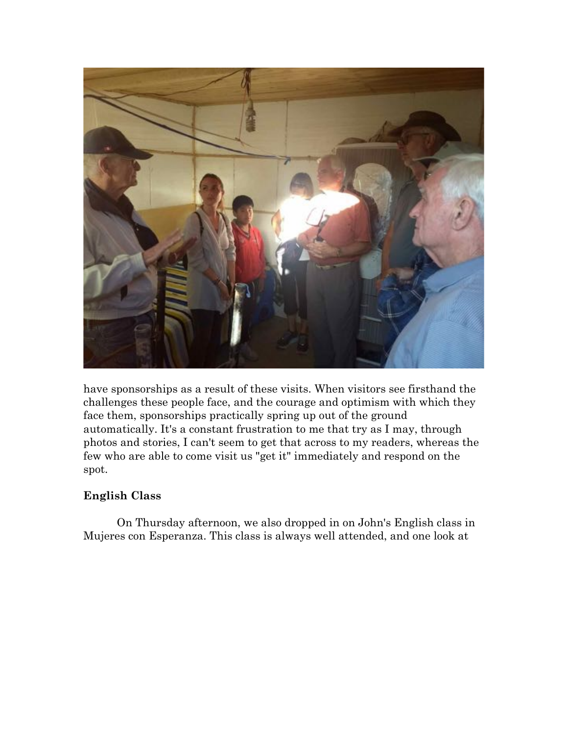

have sponsorships as a result of these visits. When visitors see firsthand the challenges these people face, and the courage and optimism with which they face them, sponsorships practically spring up out of the ground automatically. It's a constant frustration to me that try as I may, through photos and stories, I can't seem to get that across to my readers, whereas the few who are able to come visit us "get it" immediately and respond on the spot.

# **English Class**

On Thursday afternoon, we also dropped in on John's English class in Mujeres con Esperanza. This class is always well attended, and one look at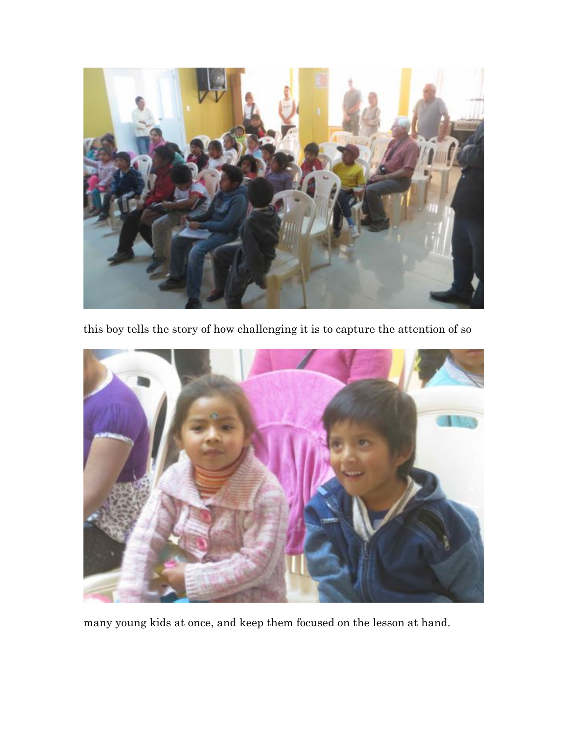

this boy tells the story of how challenging it is to capture the attention of so



many young kids at once, and keep them focused on the lesson at hand.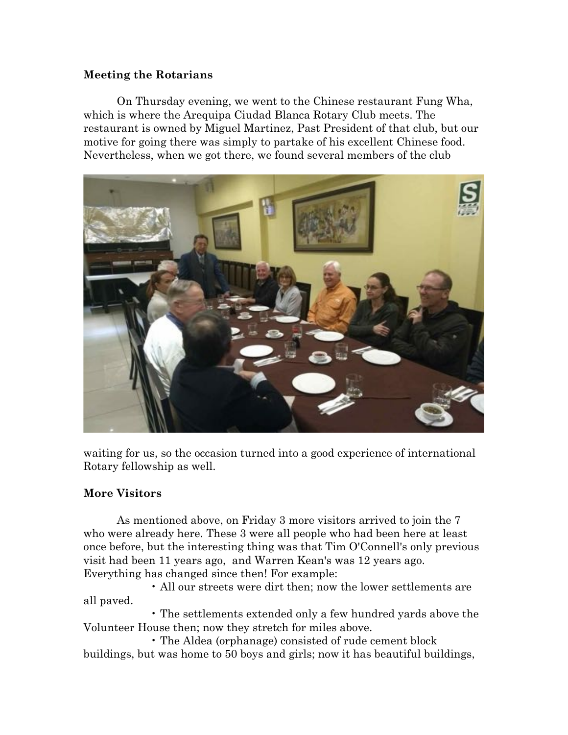### **Meeting the Rotarians**

On Thursday evening, we went to the Chinese restaurant Fung Wha, which is where the Arequipa Ciudad Blanca Rotary Club meets. The restaurant is owned by Miguel Martinez, Past President of that club, but our motive for going there was simply to partake of his excellent Chinese food. Nevertheless, when we got there, we found several members of the club



waiting for us, so the occasion turned into a good experience of international Rotary fellowship as well.

### **More Visitors**

As mentioned above, on Friday 3 more visitors arrived to join the 7 who were already here. These 3 were all people who had been here at least once before, but the interesting thing was that Tim O'Connell's only previous visit had been 11 years ago, and Warren Kean's was 12 years ago. Everything has changed since then! For example:

• All our streets were dirt then; now the lower settlements are all paved.

• The settlements extended only a few hundred yards above the Volunteer House then; now they stretch for miles above.

• The Aldea (orphanage) consisted of rude cement block buildings, but was home to 50 boys and girls; now it has beautiful buildings,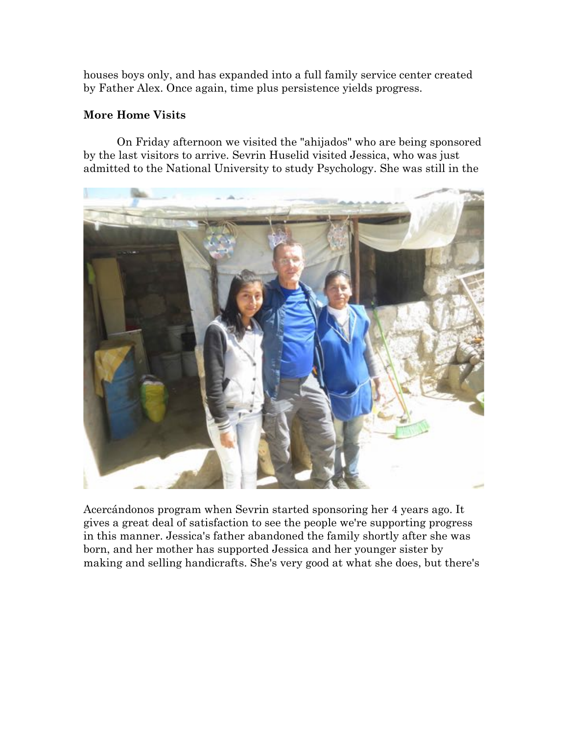houses boys only, and has expanded into a full family service center created by Father Alex. Once again, time plus persistence yields progress.

### **More Home Visits**

On Friday afternoon we visited the "ahijados" who are being sponsored by the last visitors to arrive. Sevrin Huselid visited Jessica, who was just admitted to the National University to study Psychology. She was still in the



Acercándonos program when Sevrin started sponsoring her 4 years ago. It gives a great deal of satisfaction to see the people we're supporting progress in this manner. Jessica's father abandoned the family shortly after she was born, and her mother has supported Jessica and her younger sister by making and selling handicrafts. She's very good at what she does, but there's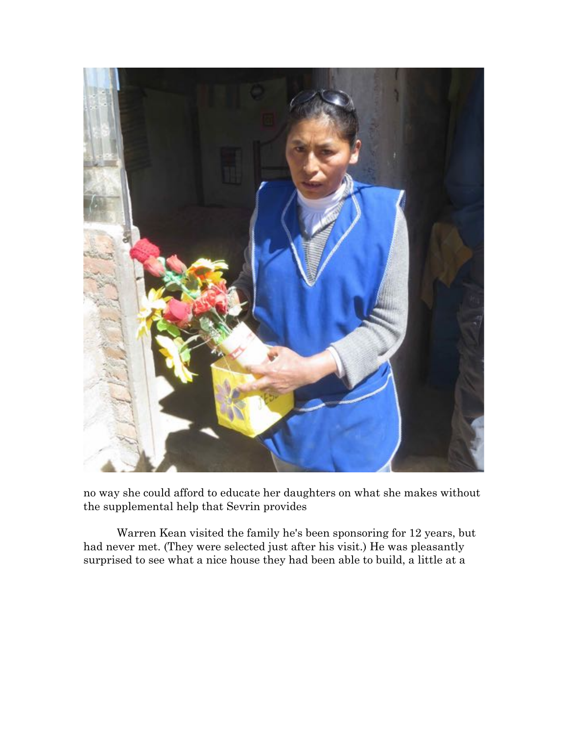

no way she could afford to educate her daughters on what she makes without the supplemental help that Sevrin provides

Warren Kean visited the family he's been sponsoring for 12 years, but had never met. (They were selected just after his visit.) He was pleasantly surprised to see what a nice house they had been able to build, a little at a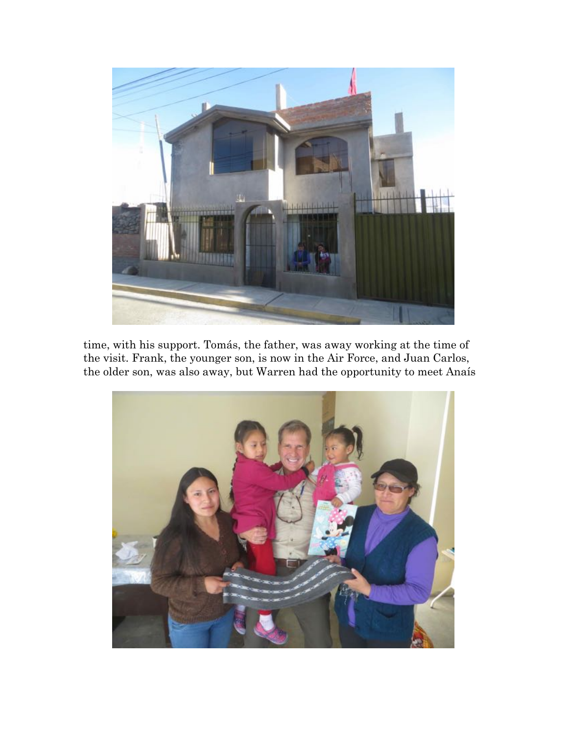

time, with his support. Tomás, the father, was away working at the time of the visit. Frank, the younger son, is now in the Air Force, and Juan Carlos, the older son, was also away, but Warren had the opportunity to meet Anaís

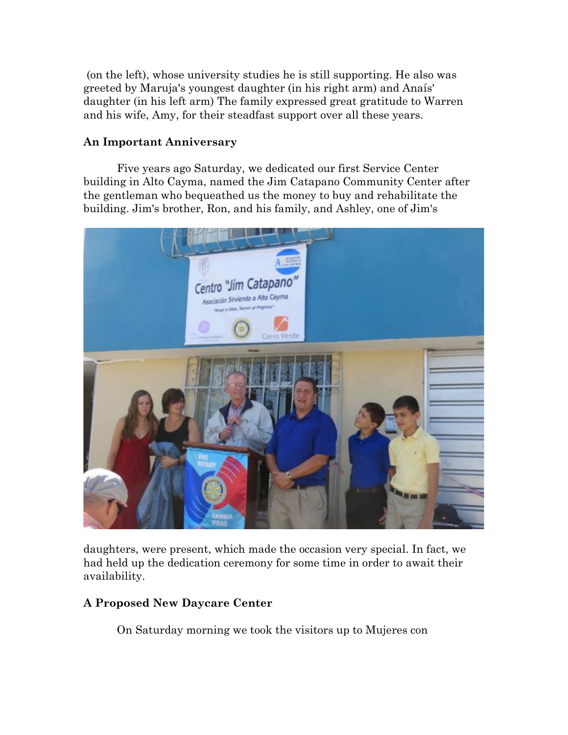(on the left), whose university studies he is still supporting. He also was greeted by Maruja's youngest daughter (in his right arm) and Anaís' daughter (in his left arm) The family expressed great gratitude to Warren and his wife, Amy, for their steadfast support over all these years.

#### **An Important Anniversary**

Five years ago Saturday, we dedicated our first Service Center building in Alto Cayma, named the Jim Catapano Community Center after the gentleman who bequeathed us the money to buy and rehabilitate the building. Jim's brother, Ron, and his family, and Ashley, one of Jim's



daughters, were present, which made the occasion very special. In fact, we had held up the dedication ceremony for some time in order to await their availability.

### **A Proposed New Daycare Center**

On Saturday morning we took the visitors up to Mujeres con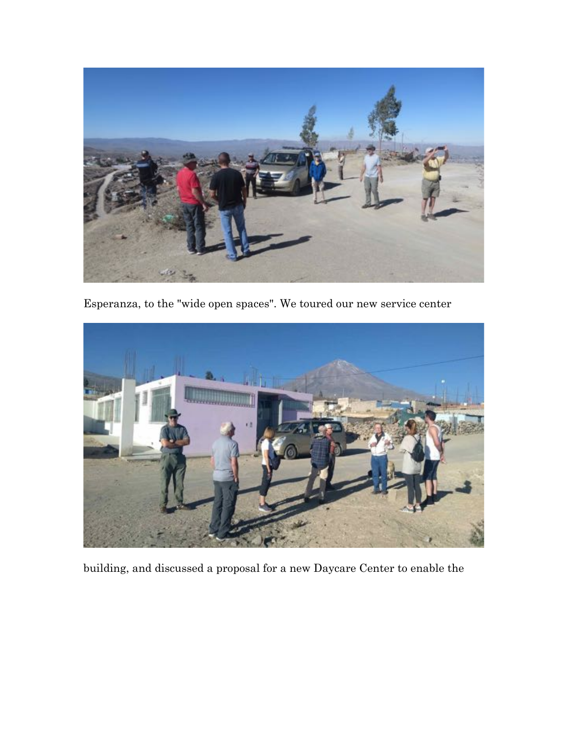

Esperanza, to the "wide open spaces". We toured our new service center



building, and discussed a proposal for a new Daycare Center to enable the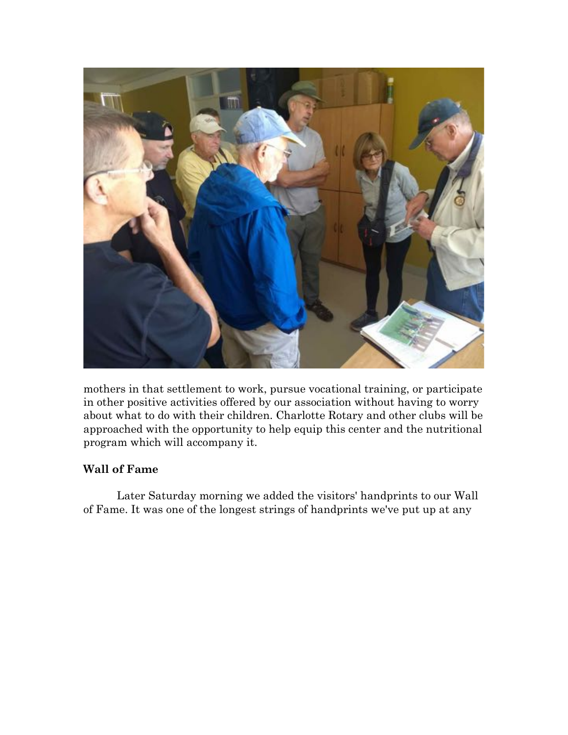

mothers in that settlement to work, pursue vocational training, or participate in other positive activities offered by our association without having to worry about what to do with their children. Charlotte Rotary and other clubs will be approached with the opportunity to help equip this center and the nutritional program which will accompany it.

## **Wall of Fame**

Later Saturday morning we added the visitors' handprints to our Wall of Fame. It was one of the longest strings of handprints we've put up at any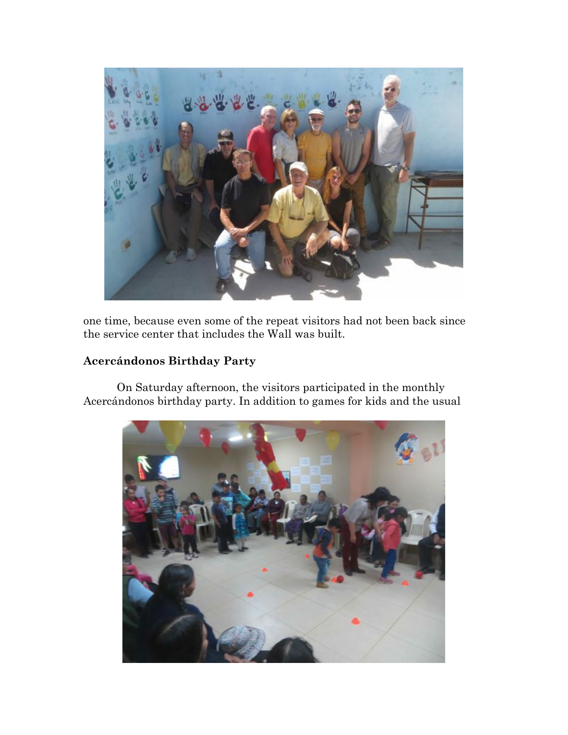

one time, because even some of the repeat visitors had not been back since the service center that includes the Wall was built.

## **Acercándonos Birthday Party**

On Saturday afternoon, the visitors participated in the monthly Acercándonos birthday party. In addition to games for kids and the usual

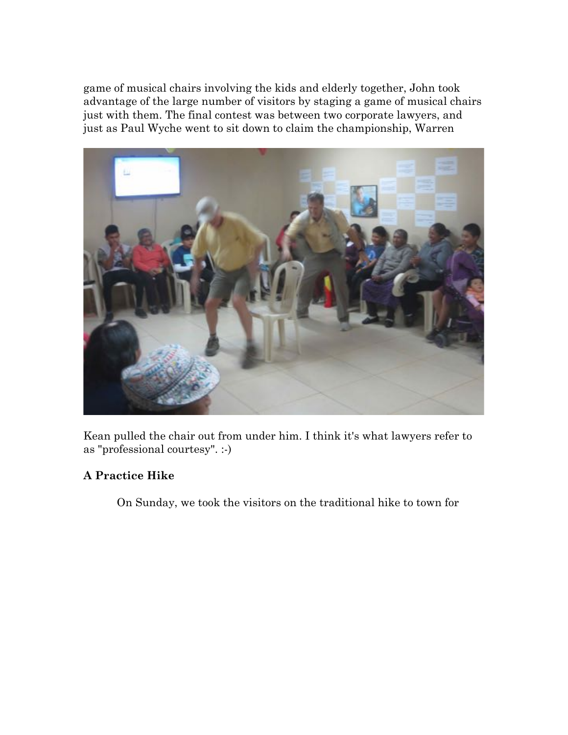game of musical chairs involving the kids and elderly together, John took advantage of the large number of visitors by staging a game of musical chairs just with them. The final contest was between two corporate lawyers, and just as Paul Wyche went to sit down to claim the championship, Warren



Kean pulled the chair out from under him. I think it's what lawyers refer to as "professional courtesy". :-)

## **A Practice Hike**

On Sunday, we took the visitors on the traditional hike to town for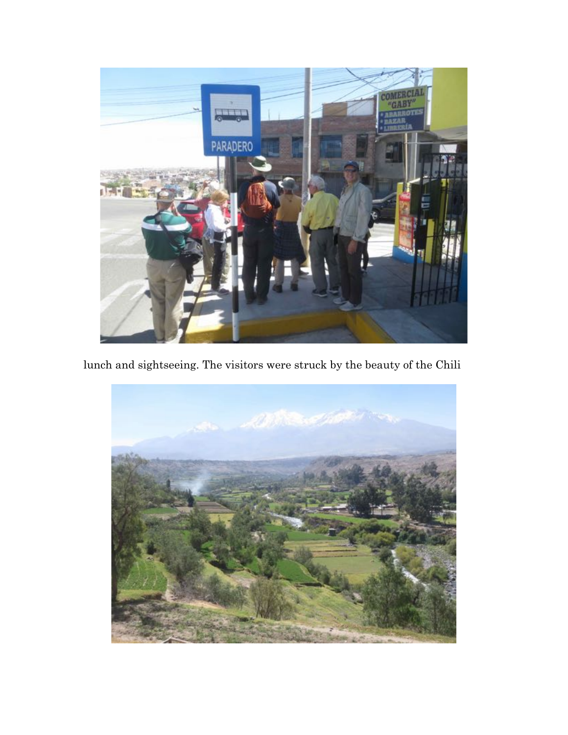

lunch and sightseeing. The visitors were struck by the beauty of the Chili

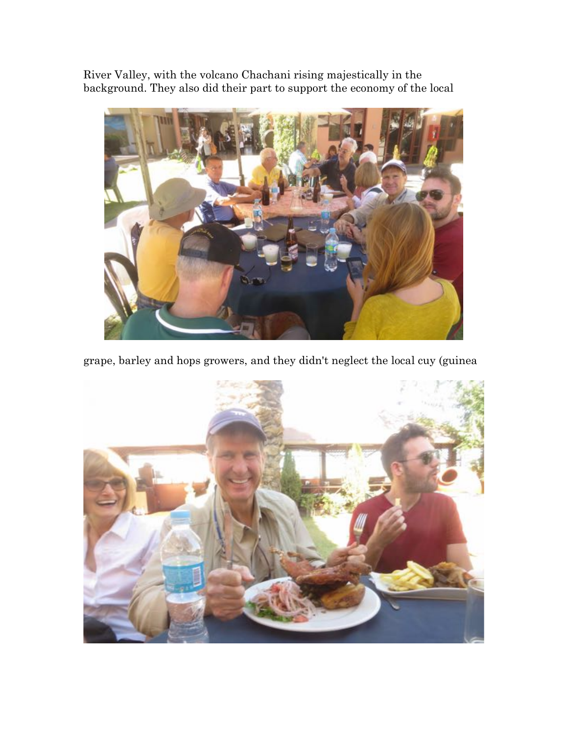River Valley, with the volcano Chachani rising majestically in the background. They also did their part to support the economy of the local



grape, barley and hops growers, and they didn't neglect the local cuy (guinea